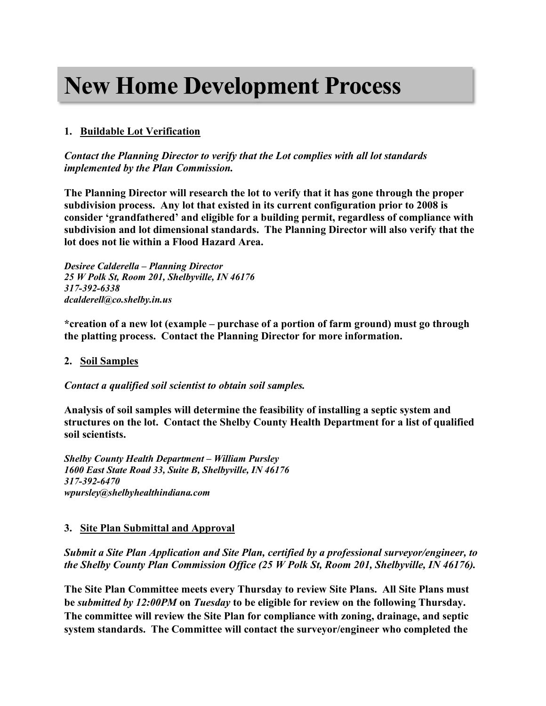# **New Home Development Process**

# **1. Buildable Lot Verification**

*Contact the Planning Director to verify that the Lot complies with all lot standards implemented by the Plan Commission.* 

**The Planning Director will research the lot to verify that it has gone through the proper subdivision process. Any lot that existed in its current configuration prior to 2008 is consider 'grandfathered' and eligible for a building permit, regardless of compliance with subdivision and lot dimensional standards. The Planning Director will also verify that the lot does not lie within a Flood Hazard Area.** 

*Desiree Calderella – Planning Director 25 W Polk St, Room 201, Shelbyville, IN 46176 317-392-6338 dcalderell@co.shelby.in.us*

**\*creation of a new lot (example – purchase of a portion of farm ground) must go through the platting process. Contact the Planning Director for more information.** 

#### **2. Soil Samples**

*Contact a qualified soil scientist to obtain soil samples.*

**Analysis of soil samples will determine the feasibility of installing a septic system and structures on the lot. Contact the Shelby County Health Department for a list of qualified soil scientists.**

*Shelby County Health Department – William Pursley 1600 East State Road 33, Suite B, Shelbyville, IN 46176 317-392-6470 wpursley@shelbyhealthindiana.com*

## **3. Site Plan Submittal and Approval**

*Submit a Site Plan Application and Site Plan, certified by a professional surveyor/engineer, to the Shelby County Plan Commission Office (25 W Polk St, Room 201, Shelbyville, IN 46176).*

**The Site Plan Committee meets every Thursday to review Site Plans. All Site Plans must be** *submitted by 12:00PM* **on** *Tuesday* **to be eligible for review on the following Thursday. The committee will review the Site Plan for compliance with zoning, drainage, and septic system standards. The Committee will contact the surveyor/engineer who completed the**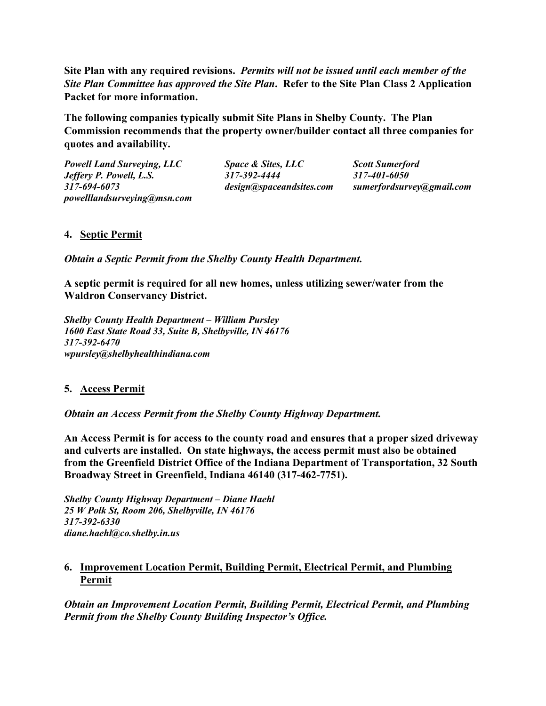**Site Plan with any required revisions.** *Permits will not be issued until each member of the Site Plan Committee has approved the Site Plan***. Refer to the Site Plan Class 2 Application Packet for more information.** 

**The following companies typically submit Site Plans in Shelby County. The Plan Commission recommends that the property owner/builder contact all three companies for quotes and availability.**

*Powell Land Surveying, LLC Space & Sites, LLC Scott Sumerford Jeffery P. Powell, L.S. 317-392-4444 317-401-6050 317-694-6073 design@spaceandsites.com sumerfordsurvey@gmail.com powelllandsurveying@msn.com*

# **4. Septic Permit**

*Obtain a Septic Permit from the Shelby County Health Department.*

**A septic permit is required for all new homes, unless utilizing sewer/water from the Waldron Conservancy District.**

*Shelby County Health Department – William Pursley 1600 East State Road 33, Suite B, Shelbyville, IN 46176 317-392-6470 wpursley@shelbyhealthindiana.com*

## **5. Access Permit**

*Obtain an Access Permit from the Shelby County Highway Department.*

**An Access Permit is for access to the county road and ensures that a proper sized driveway and culverts are installed. On state highways, the access permit must also be obtained from the Greenfield District Office of the Indiana Department of Transportation, 32 South Broadway Street in Greenfield, Indiana 46140 (317-462-7751).**

*Shelby County Highway Department – Diane Haehl 25 W Polk St, Room 206, Shelbyville, IN 46176 317-392-6330 diane.haehl@co.shelby.in.us*

## **6. Improvement Location Permit, Building Permit, Electrical Permit, and Plumbing Permit**

*Obtain an Improvement Location Permit, Building Permit, Electrical Permit, and Plumbing Permit from the Shelby County Building Inspector's Office.*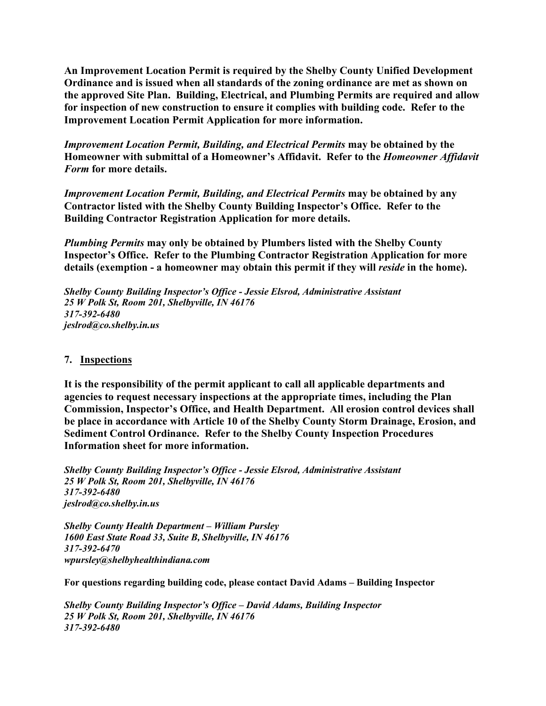**An Improvement Location Permit is required by the Shelby County Unified Development Ordinance and is issued when all standards of the zoning ordinance are met as shown on the approved Site Plan. Building, Electrical, and Plumbing Permits are required and allow for inspection of new construction to ensure it complies with building code. Refer to the Improvement Location Permit Application for more information.**

*Improvement Location Permit, Building, and Electrical Permits* **may be obtained by the Homeowner with submittal of a Homeowner's Affidavit. Refer to the** *Homeowner Affidavit Form* **for more details.**

*Improvement Location Permit, Building, and Electrical Permits* **may be obtained by any Contractor listed with the Shelby County Building Inspector's Office. Refer to the Building Contractor Registration Application for more details.**

*Plumbing Permits* **may only be obtained by Plumbers listed with the Shelby County Inspector's Office. Refer to the Plumbing Contractor Registration Application for more details (exemption - a homeowner may obtain this permit if they will** *reside* **in the home).**

*Shelby County Building Inspector's Office - Jessie Elsrod, Administrative Assistant 25 W Polk St, Room 201, Shelbyville, IN 46176 317-392-6480 jeslrod@co.shelby.in.us*

#### **7. Inspections**

**It is the responsibility of the permit applicant to call all applicable departments and agencies to request necessary inspections at the appropriate times, including the Plan Commission, Inspector's Office, and Health Department. All erosion control devices shall be place in accordance with Article 10 of the Shelby County Storm Drainage, Erosion, and Sediment Control Ordinance. Refer to the Shelby County Inspection Procedures Information sheet for more information.**

*Shelby County Building Inspector's Office - Jessie Elsrod, Administrative Assistant 25 W Polk St, Room 201, Shelbyville, IN 46176 317-392-6480 jeslrod@co.shelby.in.us*

*Shelby County Health Department – William Pursley 1600 East State Road 33, Suite B, Shelbyville, IN 46176 317-392-6470 wpursley@shelbyhealthindiana.com*

**For questions regarding building code, please contact David Adams – Building Inspector**

*Shelby County Building Inspector's Office – David Adams, Building Inspector 25 W Polk St, Room 201, Shelbyville, IN 46176 317-392-6480*